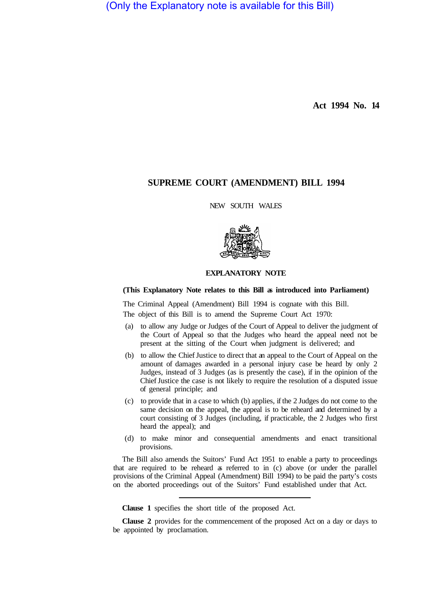(Only the Explanatory note is available for this Bill)

**Act 1994 No. 14** 

## **SUPREME COURT (AMENDMENT) BILL 1994**

NEW SOUTH WALES



## **EXPLANATORY NOTE**

## **(This Explanatory Note relates to this Bill as introduced into Parliament)**

The Criminal Appeal (Amendment) Bill 1994 is cognate with this Bill.

The object of this Bill is to amend the Supreme Court Act 1970:

- (a) to allow any Judge or Judges of the Court of Appeal to deliver the judgment of the Court of Appeal so that the Judges who heard the appeal need not be present at the sitting of the Court when judgment is delivered; and
- (b) to allow the Chief Justice to direct that an appeal to the Court of Appeal on the amount of damages awarded in a personal injury case be heard by only 2 Judges, instead of 3 Judges (as is presently the case), if in the opinion of the Chief Justice the case is not likely to require the resolution of a disputed issue of general principle; and
- (c) to provide that in a case to which (b) applies, if the 2 Judges do not come to the same decision on the appeal, the appeal is to be reheard and determined by a court consisting of 3 Judges (including, if practicable, the 2 Judges who first heard the appeal); and
- (d) to make minor and consequential amendments and enact transitional provisions.

The Bill also amends the Suitors' Fund Act 1951 to enable a party to proceedings that are required to be reheard as referred to in (c) above (or under the parallel provisions of the Criminal Appeal (Amendment) Bill 1994) to be paid the party's costs on the aborted proceedings out of the Suitors' Fund established under that Act.

**Clause 1** specifies the short title of the proposed Act.

**Clause 2** provides for the commencement of the proposed Act on a day or days to be appointed by proclamation.